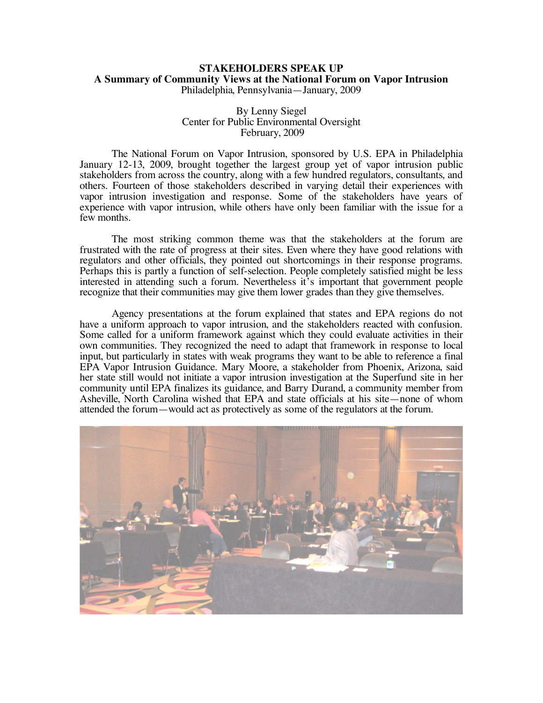## **STAKEHOLDERS SPEAK UP A Summary of Community Views at the National Forum on Vapor Intrusion** Philadelphia, Pennsylvania—January, 2009

## By Lenny Siegel Center for Public Environmental Oversight February, 2009

The National Forum on Vapor Intrusion, sponsored by U.S. EPA in Philadelphia January 12-13, 2009, brought together the largest group yet of vapor intrusion public stakeholders from across the country, along with a few hundred regulators, consultants, and others. Fourteen of those stakeholders described in varying detail their experiences with vapor intrusion investigation and response. Some of the stakeholders have years of experience with vapor intrusion, while others have only been familiar with the issue for a few months.

The most striking common theme was that the stakeholders at the forum are frustrated with the rate of progress at their sites. Even where they have good relations with regulators and other officials, they pointed out shortcomings in their response programs. Perhaps this is partly a function of self-selection. People completely satisfied might be less interested in attending such a forum. Nevertheless it's important that government people recognize that their communities may give them lower grades than they give themselves.

Agency presentations at the forum explained that states and EPA regions do not have a uniform approach to vapor intrusion, and the stakeholders reacted with confusion. Some called for a uniform framework against which they could evaluate activities in their own communities. They recognized the need to adapt that framework in response to local input, but particularly in states with weak programs they want to be able to reference a final EPA Vapor Intrusion Guidance. Mary Moore, a stakeholder from Phoenix, Arizona, said her state still would not initiate a vapor intrusion investigation at the Superfund site in her community until EPA finalizes its guidance, and Barry Durand, a community member from Asheville, North Carolina wished that EPA and state officials at his site—none of whom attended the forum—would act as protectively as some of the regulators at the forum.

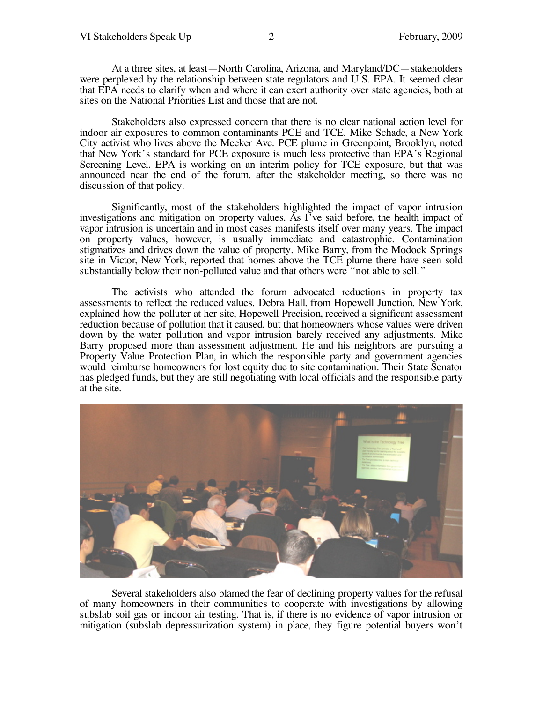At a three sites, at least—North Carolina, Arizona, and Maryland/DC—stakeholders were perplexed by the relationship between state regulators and U.S. EPA. It seemed clear that EPA needs to clarify when and where it can exert authority over state agencies, both at sites on the National Priorities List and those that are not.

Stakeholders also expressed concern that there is no clear national action level for indoor air exposures to common contaminants PCE and TCE. Mike Schade, a New York City activist who lives above the Meeker Ave. PCE plume in Greenpoint, Brooklyn, noted that New York's standard for PCE exposure is much less protective than EPA's Regional Screening Level. EPA is working on an interim policy for TCE exposure, but that was announced near the end of the forum, after the stakeholder meeting, so there was no discussion of that policy.

Significantly, most of the stakeholders highlighted the impact of vapor intrusion investigations and mitigation on property values. As I've said before, the health impact of vapor intrusion is uncertain and in most cases manifests itself over many years. The impact on property values, however, is usually immediate and catastrophic. Contamination stigmatizes and drives down the value of property. Mike Barry, from the Modock Springs site in Victor, New York, reported that homes above the TCE plume there have seen sold substantially below their non-polluted value and that others were "not able to sell."

The activists who attended the forum advocated reductions in property tax assessments to reflect the reduced values. Debra Hall, from Hopewell Junction, New York, explained how the polluter at her site, Hopewell Precision, received <sup>a</sup> significant assessment reduction because of pollution that it caused, but that homeowners whose values were driven down by the water pollution and vapor intrusion barely received any adjustments. Mike Barry proposed more than assessment adjustment. He and his neighbors are pursuing a Property Value Protection Plan, in which the responsible party and government agencies would reimburse homeowners for lost equity due to site contamination. Their State Senator has pledged funds, but they are still negotiating with local officials and the responsible party at the site.



Several stakeholders also blamed the fear of declining property values for the refusal of many homeowners in their communities to cooperate with investigations by allowing subslab soil gas or indoor air testing. That is, if there is no evidence of vapor intrusion or mitigation (subslab depressurization system) in place, they figure potential buyers won't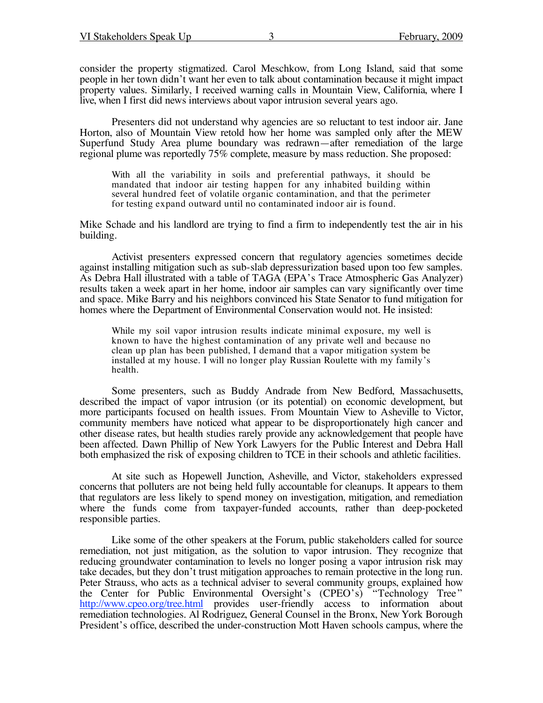consider the property stigmatized. Carol Meschkow, from Long Island, said that some people in her town didn't want her even to talk about contamination because it might impact property values. Similarly, I received warning calls in Mountain View, California, where I live, when I first did news interviews about vapor intrusion several years ago.

Presenters did not understand why agencies are so reluctant to test indoor air. Jane Horton, also of Mountain View retold how her home was sampled only after the MEW Superfund Study Area plume boundary was redrawn—after remediation of the large regional plume was reportedly 75% complete, measure by mass reduction. She proposed:

With all the variability in soils and preferential pathways, it should be mandated that indoor air testing happen for any inhabited building within several hundred feet of volatile organic contamination, and that the perimeter for testing expand outward until no contaminated indoor air is found.

Mike Schade and his landlord are trying to find a firm to independently test the air in his building.

Activist presenters expressed concern that regulatory agencies sometimes decide against installing mitigation such as sub-slab depressurization based upon too few samples. As Debra Hall illustrated with a table of TAGA (EPA's Trace Atmospheric Gas Analyzer) results taken a week apart in her home, indoor air samples can vary significantly over time and space. Mike Barry and his neighbors convinced his State Senator to fund mitigation for homes where the Department of Environmental Conservation would not. He insisted:

While my soil vapor intrusion results indicate minimal exposure, my well is known to have the highest contamination of any private well and because no clean up plan has been published, I demand that a vapor mitigation system be installed at my house. I will no longer play Russian Roulette with my family's health.

Some presenters, such as Buddy Andrade from New Bedford, Massachusetts, described the impact of vapor intrusion (or its potential) on economic development, but more participants focused on health issues. From Mountain View to Asheville to Victor, community members have noticed what appear to be disproportionately high cancer and other disease rates, but health studies rarely provide any acknowledgement that people have been affected. Dawn Phillip of New York Lawyers for the Public Interest and Debra Hall both emphasized the risk of exposing children to TCE in their schools and athletic facilities.

At site such as Hopewell Junction, Asheville, and Victor, stakeholders expressed concerns that polluters are not being held fully accountable for cleanups. It appears to them that regulators are less likely to spend money on investigation, mitigation, and remediation where the funds come from taxpayer-funded accounts, rather than deep-pocketed responsible parties.

Like some of the other speakers at the Forum, public stakeholders called for source remediation, not just mitigation, as the solution to vapor intrusion. They recognize that reducing groundwater contamination to levels no longer posing a vapor intrusion risk may take decades, but they don't trust mitigation approaches to remain protective in the long run. Peter Strauss, who acts as a technical adviser to several community groups, explained how the Center for Public Environmental Oversight's (CPEO's) "Technology Tree " http://www.cpeo.org/tree.html provides user-friendly access to information about remediation technologies. Al Rodriguez, General Counsel in the Bronx, New York Borough President's office, described the under-construction Mott Haven schools campus, where the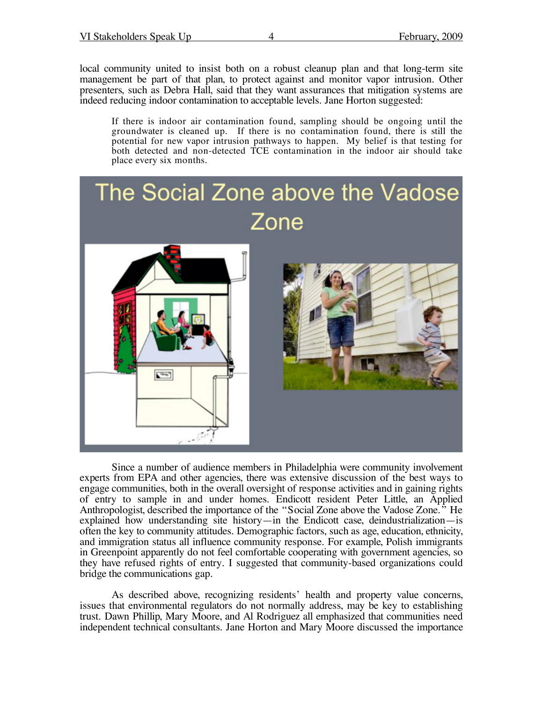local community united to insist both on a robust cleanup plan and that long-term site management be part of that plan, to protect against and monitor vapor intrusion. Other presenters, such as Debra Hall, said that they want assurances that mitigation systems are indeed reducing indoor contamination to acceptable levels. Jane Horton suggested:

If there is indoor air contamination found, sampling should be ongoing until the groundwater is cleaned up. If there is no contamination found, there is still the potential for new vapor intrusion pathways to happen. My belief is that testing for both detected and non-detected TCE contamination in the indoor air should take place every six months.



Since a number of audience members in Philadelphia were community involvement experts from EPA and other agencies, there was extensive discussion of the best ways to engage communities, both in the overall oversight of response activities and in gaining rights of entry to sample in and under homes. Endicott resident Peter Little, an Applied Anthropologist, described the importance of the "Social Zone above the Vadose Zone." He explained how understanding site history—in the Endicott case, deindustrialization—is often the key to community attitudes. Demographic factors, such as age, education, ethnicity, and immigration status all influence community response. For example, Polish immigrants in Greenpoint apparently do not feel comfortable cooperating with government agencies, so they have refused rights of entry. I suggested that community-based organizations could bridge the communications gap.

As described above, recognizing residents' health and property value concerns, issues that environmental regulators do not normally address, may be key to establishing trust. Dawn Phillip, Mary Moore, and Al Rodriguez all emphasized that communities need independent technical consultants. Jane Horton and Mary Moore discussed the importance